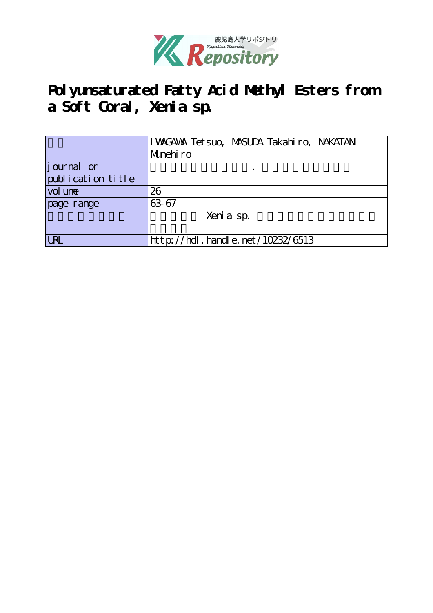

# **Polyunsaturated Fatty Acid Methyl Esters from a Soft Coral, Xenia sp.**

|                   | I WAGAWA Tet suo, MASUDA Takahiro, NAKATANI |
|-------------------|---------------------------------------------|
|                   | Munehiro                                    |
| journal or        |                                             |
| publication title |                                             |
| vol une           | 26                                          |
| page range        | 63 67                                       |
|                   | Xeni a sp.                                  |
|                   |                                             |
| <b>LRL</b>        | $http$ ://hdl. handle. net/10232/6513       |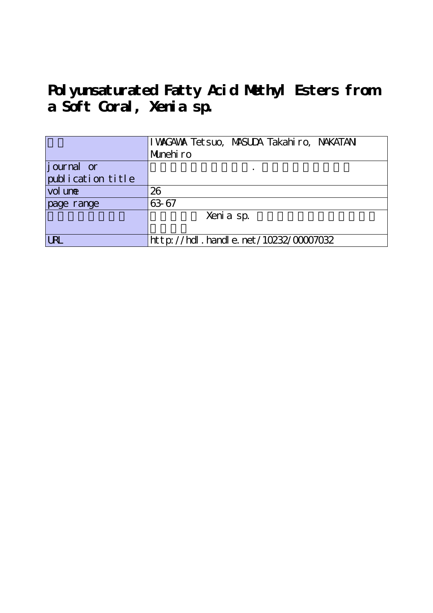# **Polyunsaturated Fatty Acid Methyl Esters from a Soft Coral, Xenia sp.**

|                   | I WAGAWA Tetsuo, MASUDA Takahiro, NAKATANI |
|-------------------|--------------------------------------------|
|                   | Munehiro                                   |
| journal or        |                                            |
| publication title |                                            |
| vol une           | 26                                         |
| page range        | 63 67                                      |
|                   | Xeni a sp.                                 |
|                   |                                            |
| <b>LRL</b>        | http://hdl.handle.net/10232/00007032       |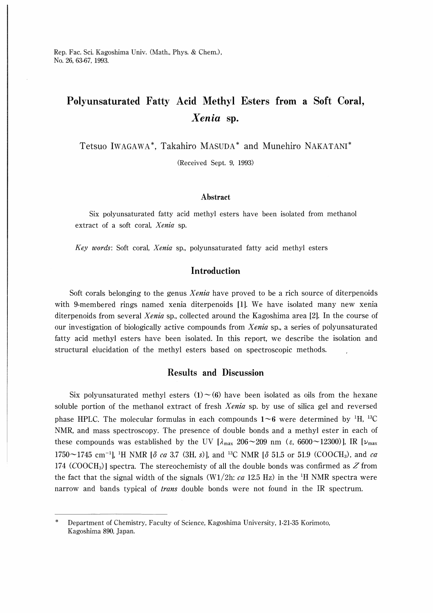Rep. Fac. Sci. Kagoshima Univ. (Math., Phys. & Chem.), No. 26, 63-67, 1993.

## Polyunsaturated Fatty Acid Methyl Esters from a Soft Coral, Xenia sp.

Tetsuo IwAGAWA\*, Takahiro MASUDA\* and Munehiro NAKATANI

(Received Sept. 9, 1993)

#### Abstract

Six polyunsaturated fatty acid methyl esters have been isolated from methanol extract of a soft coral, Xenia sp.

Key words: Soft coral, Xenia sp., polyunsaturated fatty acid methyl esters

### Introduction

Soft corals belonging to the genus *Xenia* have proved to be a rich source of diterpenoids with 9-membered rings named xenia diterpenoids [1]. We have isolated many new xenia diterpenoids from several Xenia sp., collected around the Kagoshima area [2]. In the course of our investigation of biologically active compounds from Xenia sp., a series of polyunsaturated fatty acid methyl esters have been isolated. In this report, we describe the isolation and structural elucidation of the methyl esters based on spectroscopic methods.

### Results and Discussion

Six polyunsaturated methyl esters  $(1) \sim (6)$  have been isolated as oils from the hexane soluble portion of the methanol extract of fresh Xenia sp. by use of silica gel and reversed phase HPLC. The molecular formulas in each compounds  $1\neg 6$  were determined by <sup>1</sup>H, <sup>13</sup>C NMR, and mass spectroscopy. The presence of double bonds and a methyl ester in each of these compounds was established by the UV  $[\lambda_{max} 206 \sim 209 \text{ nm}$  ( $\varepsilon$ , 6600 $\sim$ 12300)], IR  $[\nu_{max}$  $1750 \sim 1745$  cm<sup>-1</sup>], <sup>1</sup>H NMR [ $\delta$  ca 3.7 (3H, s)], and <sup>13</sup>C NMR [ $\delta$  51.5 or 51.9 (COOCH<sub>3</sub>), and ca 174 (COOCH<sub>3</sub>)] spectra. The stereochemisty of all the double bonds was confirmed as  $Z$  from the fact that the signal width of the signals (W1/2h:  $ca$  12.5 Hz) in the <sup>1</sup>H NMR spectra were narrow and bands typical of *trans* double bonds were not found in the IR spectrum.

Department of Chemistry, Faculty of Science, Kagoshima University, 1-21-35 Korimoto, Kagoshima 890, Japan.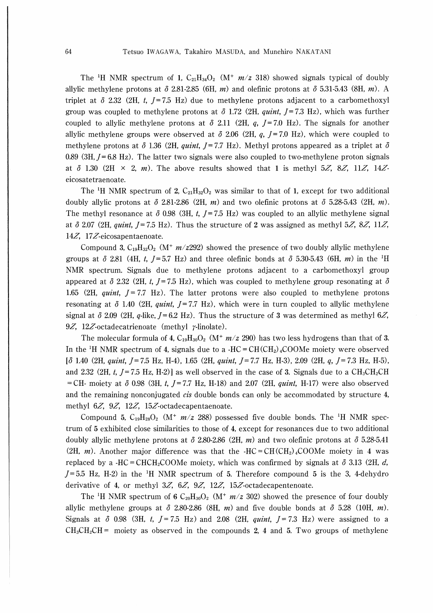The <sup>1</sup>H NMR spectrum of 1, C<sub>21</sub>H<sub>34</sub>O<sub>2</sub> (M<sup>+</sup>  $m/z$  318) showed signals typical of doubly allylic methylene protons at  $\delta$  2.81-2.85 (6H, m) and olefinic protons at  $\delta$  5.31-5.43 (8H, m). A triplet at  $\delta$  2.32 (2H, t,  $I = 7.5$  Hz) due to methylene protons adjacent to a carbomethoxyl group was coupled to methylene protons at  $\delta$  1.72 (2H, *quint*,  $J=7.3$  Hz), which was further coupled to allylic methylene protons at  $\delta$  2.11 (2H, q, J=7.0 Hz). The signals for another allylic methylene groups were observed at  $\delta$  2.06 (2H, q, J=7.0 Hz), which were coupled to methylene protons at  $\delta$  1.36 (2H, quint, J=7.7 Hz). Methyl protons appeared as a triplet at  $\delta$ 0.89 (3H,  $I = 6.8$  Hz). The latter two signals were also coupled to two-methylene proton signals at  $\delta$  1.30 (2H  $\times$  2, *m*). The above results showed that 1 is methyl 5Z, 8Z, 11Z, 14Zeicosatetraenoate.

The <sup>1</sup>H NMR spectrum of 2,  $C_{21}H_{32}O_2$  was similar to that of 1, except for two additional doubly allylic protons at  $\delta$  2.81-2.86 (2H, m) and two olefinic protons at  $\delta$  5.28-5.43 (2H, m). The methyl resonance at  $\delta$  0.98 (3H, t, J=7.5 Hz) was coupled to an allylic methylene signal at  $\delta$  2.07 (2H, quint, J=7.5 Hz). Thus the structure of 2 was assigned as methyl 5Z, 8Z, 11Z, 14 $Z$ , 17 $Z$ -eicosapentaenoate.

Compound 3,  $C_{19}H_{32}O_2$  (M<sup>+</sup>  $m/z$  292) showed the presence of two doubly allylic methylene groups at  $\delta$  2.81 (4H, t, J=5.7 Hz) and three olefinic bonds at  $\delta$  5.30-5.43 (6H, m) in the <sup>1</sup>H NMR spectrum. Signals due to methylene protons adjacent to a carbomethoxyl group appeared at  $\delta$  2.32 (2H, t, J=7.5 Hz), which was coupled to methylene group resonating at  $\delta$ 1.65 (2H, quint,  $J = 7.7$  Hz). The latter protons were also coupled to methylene protons resonating at  $\delta$  1.40 (2H, quint, J=7.7 Hz), which were in turn coupled to allylic methylene signal at  $\delta$  2.09 (2H, q-like,  $I=6.2$  Hz). Thus the structure of 3 was determined as methyl 6Z, 9Z, 12Z-octadecatrienoate (methyl  $\gamma$ -linolate).

The molecular formula of 4,  $C_{19}H_{30}O_2$  (M<sup>+</sup>  $m/z$  290) has two less hydrogens than that of 3. In the <sup>1</sup>H NMR spectrum of 4, signals due to a -HC =  $CH(CH<sub>2</sub>)$  + COOMe moiety were observed  $\lbrack \delta$  1.40 (2H, quint, J = 7.5 Hz, H-4), 1.65 (2H, quint, J = 7.7 Hz, H-3), 2.09 (2H, q, J = 7.3 Hz, H-5), and 2.32 (2H, t,  $J = 7.5$  Hz, H-2)] as well observed in the case of 3. Signals due to a  $CH_3CH_2CH$ = CH- moiety at  $\delta$  0.98 (3H, t, J = 7.7 Hz, H-18) and 2.07 (2H, quint, H-17) were also observed and the remaining nonconjugated *cis* double bonds can only be accommodated by structure 4 methyl  $6Z$ ,  $9Z$ ,  $12Z$ ,  $15Z$ -octadecapentaenoate.

Compound 5,  $C_{19}H_{28}O_2$  (M<sup>+</sup>  $m/z$  288) possessed five double bonds. The <sup>1</sup>H NMR spectrum of 5 exhibited close similarities to those of 4, except for resonances due to two additional doubly allylic methylene protons at  $\delta$  2.80-2.86 (2H, m) and two olefinic protons at  $\delta$  5.28-5.41 (2H, *m*). Another major difference was that the -HC=CH(CH<sub>2</sub>)<sub>4</sub>COOMe moiety in 4 was replaced by a -HC=CHCH<sub>2</sub>COOMe moiety, which was confirmed by signals at  $\delta$  3.13 (2H, d,  $J=5.5$  Hz, H-2) in the <sup>1</sup>H NMR spectrum of 5. Therefore compound 5 is the 3, 4-dehydro derivative of 4, or methyl  $3Z$ ,  $6Z$ ,  $9Z$ ,  $12Z$ ,  $15Z$ -octadecapentenoate.

The <sup>1</sup>H NMR spectrum of 6 C<sub>20</sub>H<sub>30</sub>O<sub>2</sub> (M<sup>+</sup>  $m/z$  302) showed the presence of four doubly allylic methylene groups at  $\delta$  2.80-2.86 (8H, m) and five double bonds at  $\delta$  5.28 (10H, m). Signals at  $\delta$  0.98 (3H, t,  $J=7.5$  Hz) and 2.08 (2H, quint,  $J=7.3$  Hz) were assigned to a  $CH_3CH_2CH=$  moiety as observed in the compounds 2, 4 and 5. Two groups of methylene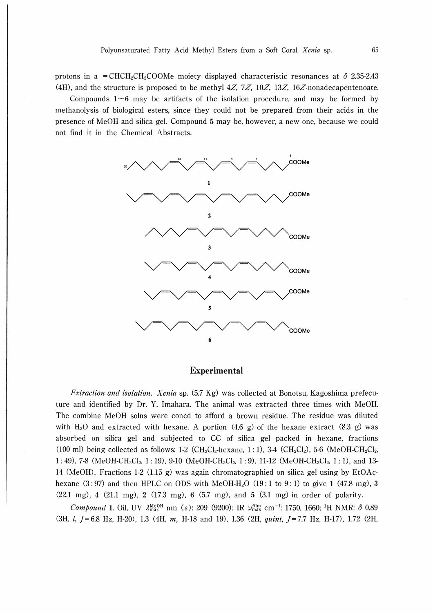protons in a = CHCH<sub>2</sub>CH<sub>2</sub>COOMe moiety displayed characteristic resonances at  $\delta$  2.35-2.43 (4H), and the structure is proposed to be methyl  $4Z$ ,  $7Z$ ,  $10Z$ ,  $13Z$ ,  $16Z$ -nonadecapentenoate.

Compounds  $1-6$  may be artifacts of the isolation procedure, and may be formed by methanolysis of biological esters, since they could not be prepared from their acids in the presence of MeOH and silica gel. Compound 5 may be, however, a new one, because we could not find it in the Chemical Abstracts.



#### Experimental

Extraction and isolation. Xenia sp. (5.7 Kg) was collected at Bonotsu, Kagoshima prefecuture and identified by Dr. Y. Imahara. The animal was extracted three times with MeOH. The combine MeOH solns were coned to afford a brown residue. The residue was diluted with H<sub>2</sub>O and extracted with hexane. A portion (4.6 g) of the hexane extract (8.3 g) was absorbed on silica gel and subjected to CC of silica gel packed in hexane, fractions (100 ml) being collected as follows: 1-2 (CH<sub>2</sub>Cl<sub>2</sub>-hexane, 1 : 1), 3-4 (CH<sub>2</sub>Cl<sub>2</sub>), 5-6 (MeOH-CH<sub>2</sub>Cl<sub>2</sub>,  $1:49$ , 7-8 (MeOH-CH<sub>2</sub>Cl<sub>2</sub>, 1:19), 9-10 (MeOH-CH<sub>2</sub>Cl<sub>2</sub>, 1:9), 11-12 (MeOH-CH<sub>2</sub>Cl<sub>2</sub>, 1:1), and 13-14 (MeOH). Fractions 1-2 (1.15 g) was again chromatographied on silica gel using by EtOAchexane  $(3:97)$  and then HPLC on ODS with MeOH-H<sub>2</sub>O  $(19:1 \text{ to } 9:1)$  to give 1  $(47.8 \text{ mg})$ , 3 (22.1 mg), 4 (21.1 mg), 2 (17.3 mg), 6 (5.7 mg), and 5 (3.1 mg) in order of polarity.

Compound 1. Oil, UV  $\lambda_{\text{max}}^{\text{MeOH}}$  nm (ε): 209 (9200); IR  $\nu_{\text{max}}^{\text{film}}$  cm<sup>-1</sup>: 1750, 1660; <sup>1</sup>H NMR: δ 0.89 (3H, t,  $J=6.8$  Hz, H-20), 1.3 (4H, m, H-18 and 19), 1.36 (2H, quint,  $J=7.7$  Hz, H-17), 1.72 (2H,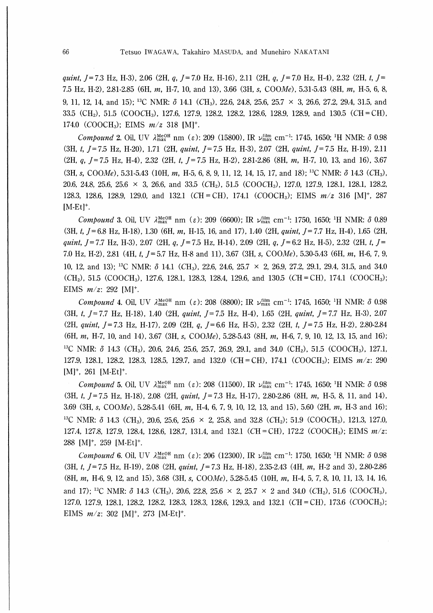quint, J = 7.3 Hz, H-3), 2.06 (2H, q, J = 7.0 Hz, H-16), 2.11 (2H, q, J = 7.0 Hz, H-4), 2.32 (2H, t, J = 7.5 Hz, H-2), 2.81-2.85 (6H, m, H-7, 10, and 13), 3.66 (3H, s, COOMe), 5.31-5.43 (8H, m, H-5, 6, 8, 9, 11, 12, 14, and 15);<sup>13</sup>C NMR: $\delta$  14.1 (CH<sub>3</sub>), 22.6, 24.8, 25.6, 25.7 × 3, 26.6, 27.2, 29.4, 31.5, and 33.5 (CH<sub>2</sub>), 51.5 (COOCH<sub>3</sub>), 127.6, 127.9, 128.2, 128.2, 128.6, 128.9, 128.9, and 130.5 (CH=CH), 174.0 (COOCH<sub>3</sub>); EIMS  $m/z$  318 [M]<sup>+</sup>.

Compound 2. Oil, UV  $\lambda_{\text{max}}^{\text{MeOH}}$  nm ( $\varepsilon$ ): 209 (15800), IR  $\nu_{\text{max}}^{\text{film}}$  cm<sup>-1</sup>: 1745, 1650;<sup>1</sup>H NMR:  $\delta$  0.98  $(3H, t, I = 7.5 Hz, H-20)$ , 1.71 (2H, quint,  $I = 7.5 Hz, H-3$ ), 2.07 (2H, quint,  $I = 7.5 Hz, H-19$ ), 2.11  $(2H, q, J=7.5 \text{ Hz}, H-4)$ , 2.32 (2H, t,  $J=7.5 \text{ Hz}, H-2$ ), 2.81-2.86 (8H, m, H-7, 10, 13, and 16), 3.67 (3H, s, COOMe), 5.31-5.43 (10H, m, H-5, 6, 8, 9, 11, 12, 14, 15, 17, and 18);<sup>13</sup>C NMR:  $\delta$  14.3 (CH<sub>3</sub>), 20.6, 24.8, 25.6, 25.6  $\times$  3, 26.6, and 33.5 (CH<sub>2</sub>), 51.5 (COOCH<sub>3</sub>), 127.0, 127.9, 128.1, 128.1, 128.2, 128.3, 128.6, 128.9, 129.0, and 132.1 (CH=CH), 174.1 (COOCH<sub>3</sub>); EIMS  $m/z$  316 [M]<sup>+</sup>, 287  $[M-Et]^+.$ 

Compound 3. Oil, UV  $\lambda_{\text{max}}^{\text{MeOH}}$  nm (ε): 209 (6600); IR  $\nu_{\text{max}}^{\text{film}}$  cm<sup>-1</sup>: 1750, 1650; <sup>1</sup>H NMR: δ 0.89  $(3H, t, J = 6.8 \text{ Hz}, H-18)$ , 1.30 (6H, m, H-15, 16, and 17), 1.40 (2H, quint,  $J = 7.7 \text{ Hz}, H-4$ ), 1.65 (2H, quint, J = 7.7 Hz, H-3), 2.07 (2H, q, J = 7.5 Hz, H-14), 2.09 (2H, q, J = 6.2 Hz, H-5), 2.32 (2H, t, J = 7.0 Hz, H-2), 2.81 (4H, t,  $J = 5.7$  Hz, H-8 and 11), 3.67 (3H, s, COOMe), 5.30-5.43 (6H, m, H-6, 7, 9, 10, 12, and 13);<sup>13</sup>C NMR: δ 14.1 (CH<sub>3</sub>), 22.6, 24.6, 25.7 × 2, 26.9, 27.2, 29.1, 29.4, 31.5, and 34.0  $(CH<sub>2</sub>)$ , 51.5 (COOCH<sub>3</sub>), 127.6, 128.1, 128.3, 128.4, 129.6, and 130.5 (CH=CH), 174.1 (COOCH<sub>3</sub>); EIMS  $m/z$ : 292 [M]<sup>+</sup>.

Compound 4. Oil, UV  $\lambda_{\text{max}}^{\text{MeOH}}$  nm ( $\varepsilon$ ): 208 (8800); IR  $\nu_{\text{max}}^{\text{film}}$  cm<sup>-1</sup>: 1745, 1650; <sup>1</sup>H NMR:  $\delta$  0.98 (3H, t,  $J=7.7$  Hz, H-18), 1.40 (2H, quint,  $J=7.5$  Hz, H-4), 1.65 (2H, quint,  $J=7.7$  Hz, H-3), 2.07 (2H, quint, J = 7.3 Hz, H-17), 2.09 (2H, q, J = 6.6 Hz, H-5), 2.32 (2H, t, J = 7.5 Hz, H-2), 2.80-2.84 (6H, m, H-7, 10, and 14), 3.67 (3H, s, COOMe), 5.28-5.43 (8H, m, H-6, 7, 9, 10, 12, 13, 15, and 16); <sup>13</sup>C NMR:  $\delta$  14.3 (CH<sub>3</sub>), 20.6, 24.6, 25.6, 25.7, 26.9, 29.1, and 34.0 (CH<sub>2</sub>), 51.5 (COOCH<sub>3</sub>), 127.1, 127.9, 128.1, 128.2, 128.3, 128.5, 129.7, and 132.0 (CH=CH), 174.1 (COOCH<sub>3</sub>); EIMS  $m/z$ : 290 [M]<sup>+</sup>, 261 [M-Et]<sup>+</sup>.

Compound 5. Oil, UV  $\lambda_{\text{max}}^{\text{MeOH}}$  nm (ε): 208 (11500), IR  $\nu_{\text{max}}^{\text{film}}$  cm<sup>-1</sup>: 1745, 1650; <sup>1</sup>H NMR:  $\delta$  0.98 (3H, t,  $J=7.5$  Hz, H-18), 2.08 (2H, quint,  $J=7.3$  Hz, H-17), 2.80-2.86 (8H, m, H-5, 8, 11, and 14), 3.69 (3H, s, COOMe), 5.28-5.41 (6H, m, H-4, 6, 7, 9, 10, 12, 13, and 15), 5.60 (2H, m, H-3 and 16); <sup>13</sup>C NMR: $\delta$  14.3 (CH<sub>3</sub>), 20.6, 25.6, 25.6 × 2, 25.8, and 32.8 (CH<sub>2</sub>); 51.9 (COOCH<sub>3</sub>), 121.3, 127.0, 127.4, 127.8, 127.9, 128.4, 128.6, 128.7, 131.4, and 132.1 (CH=CH), 172.2 (COOCH<sub>3</sub>); EIMS  $m/z$ : 288 [M]<sup>+</sup>, 259 [M-Et]<sup>+</sup>.

Compound 6. Oil, UV  $\lambda_{\text{max}}^{\text{MeOH}}$  nm ( $\varepsilon$ ): 206 (12300), IR  $\nu_{\text{max}}^{\text{film}}$  cm<sup>-1</sup>: 1750, 1650; <sup>1</sup>H NMR:  $\delta$  0.98 (3H, t,  $J=7.5$  Hz, H-19), 2.08 (2H, quint,  $J=7.3$  Hz, H-18), 2.35-2.43 (4H, m, H-2 and 3), 2.80-2.86  $(8H, m, H-6, 9, 12, and 15), 3.68$   $(3H, s, COOMe), 5.28-5.45$   $(10H, m, H-4, 5, 7, 8, 10, 11, 13, 14, 16,$ and 17);<sup>13</sup>C NMR:  $\delta$  14.3 (CH<sub>3</sub>), 20.6, 22.8, 25.6 × 2, 25.7 × 2 and 34.0 (CH<sub>2</sub>), 51.6 (COOCH<sub>3</sub>), 127.0, 127.9, 128.1, 128.2, 128.2, 128.3, 128.3, 128.6, 129.3, and 132.1 (CH=CH), 173.6 (COOCH<sub>3</sub>); EIMS  $m/z$ : 302 [M]<sup>+</sup>, 273 [M-Et]<sup>+</sup>.